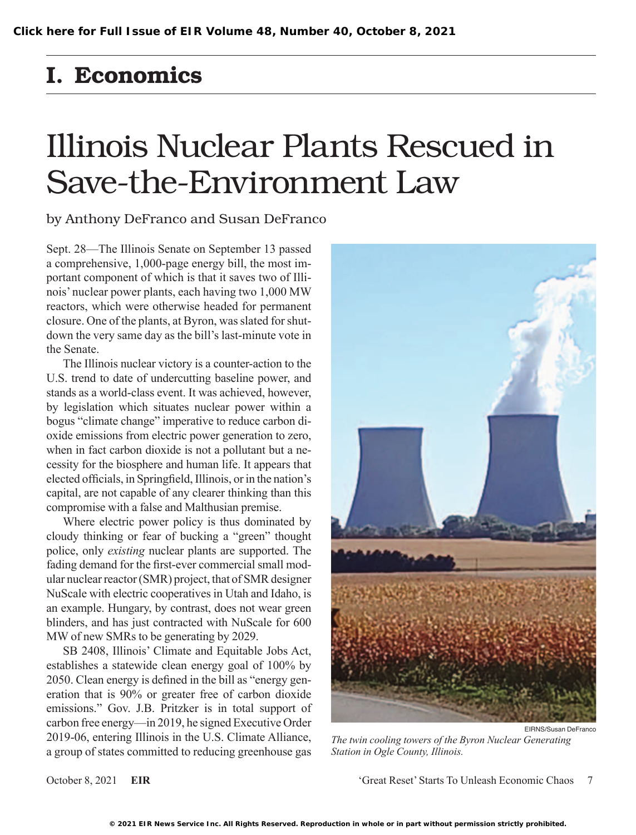## I. Economics

## Illinois Nuclear Plants Rescued in Save-the-Environment Law

by Anthony DeFranco and Susan DeFranco

Sept. 28—The Illinois Senate on September 13 passed a comprehensive, 1,000-page energy bill, the most important component of which is that it saves two of Illinois' nuclear power plants, each having two 1,000 MW reactors, which were otherwise headed for permanent closure. One of the plants, at Byron, was slated for shutdown the very same day as the bill's last-minute vote in the Senate.

The Illinois nuclear victory is a counter-action to the U.S. trend to date of undercutting baseline power, and stands as a world-class event. It was achieved, however, by legislation which situates nuclear power within a bogus "climate change" imperative to reduce carbon dioxide emissions from electric power generation to zero, when in fact carbon dioxide is not a pollutant but a necessity for the biosphere and human life. It appears that elected officials, in Springfield, Illinois, or in the nation's capital, are not capable of any clearer thinking than this compromise with a false and Malthusian premise.

Where electric power policy is thus dominated by cloudy thinking or fear of bucking a "green" thought police, only *existing* nuclear plants are supported. The fading demand for the first-ever commercial small modular nuclear reactor (SMR) project, that of SMR designer NuScale with electric cooperatives in Utah and Idaho, is an example. Hungary, by contrast, does not wear green blinders, and has just contracted with NuScale for 600 MW of new SMRs to be generating by 2029.

SB 2408, Illinois' Climate and Equitable Jobs Act, establishes a statewide clean energy goal of 100% by 2050. Clean energy is defined in the bill as "energy generation that is 90% or greater free of carbon dioxide emissions." Gov. J.B. Pritzker is in total support of carbon free energy—in 2019, he signed Executive Order 2019-06, entering Illinois in the U.S. Climate Alliance, a group of states committed to reducing greenhouse gas



*The twin cooling towers of the Byron Nuclear Generating Station in Ogle County, Illinois.*

October 8, 2021 **EIR** 'Great Reset' Starts To Unleash Economic Chaos 7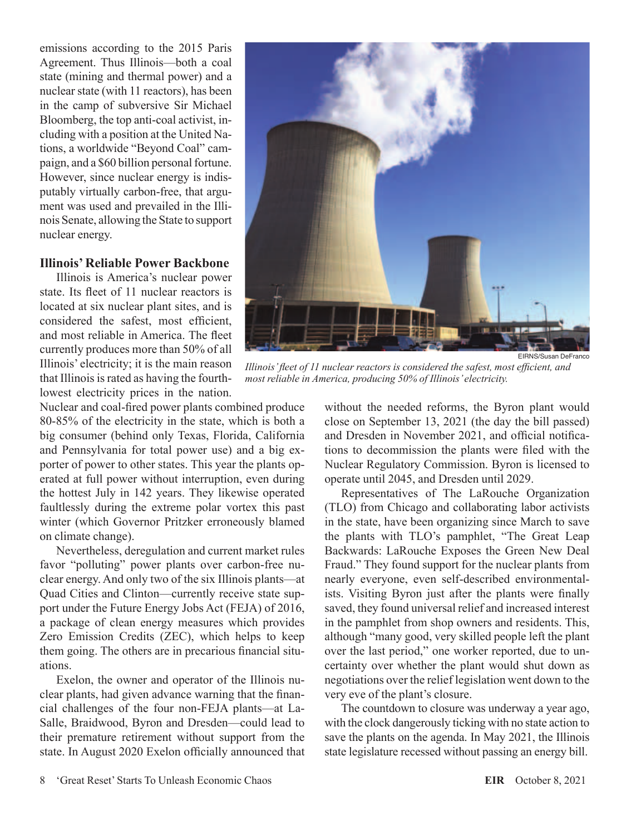emissions according to the 2015 Paris Agreement. Thus Illinois—both a coal state (mining and thermal power) and a nuclear state (with 11 reactors), has been in the camp of subversive Sir Michael Bloomberg, the top anti-coal activist, including with a position at the United Nations, a worldwide "Beyond Coal" campaign, and a \$60 billion personal fortune. However, since nuclear energy is indisputably virtually carbon-free, that argument was used and prevailed in the Illinois Senate, allowing the State to support nuclear energy.

## **Illinois' Reliable Power Backbone**

Illinois is America's nuclear power state. Its fleet of 11 nuclear reactors is located at six nuclear plant sites, and is considered the safest, most efficient, and most reliable in America. The fleet currently produces more than 50% of all Illinois' electricity; it is the main reason that Illinois is rated as having the fourthlowest electricity prices in the nation.

Nuclear and coal-fired power plants combined produce 80-85% of the electricity in the state, which is both a big consumer (behind only Texas, Florida, California and Pennsylvania for total power use) and a big exporter of power to other states. This year the plants operated at full power without interruption, even during the hottest July in 142 years. They likewise operated faultlessly during the extreme polar vortex this past winter (which Governor Pritzker erroneously blamed on climate change).

Nevertheless, deregulation and current market rules favor "polluting" power plants over carbon-free nuclear energy. And only two of the six Illinois plants—at Quad Cities and Clinton—currently receive state support under the Future Energy Jobs Act (FEJA) of 2016, a package of clean energy measures which provides Zero Emission Credits (ZEC), which helps to keep them going. The others are in precarious financial situations.

Exelon, the owner and operator of the Illinois nuclear plants, had given advance warning that the financial challenges of the four non-FEJA plants—at La-Salle, Braidwood, Byron and Dresden—could lead to their premature retirement without support from the state. In August 2020 Exelon officially announced that



EIRNS/Susan DeFranco

*Illinois' fleet of 11 nuclear reactors is considered the safest, most efficient, and most reliable in America, producing 50% of Illinois' electricity.*

without the needed reforms, the Byron plant would close on September 13, 2021 (the day the bill passed) and Dresden in November 2021, and official notifications to decommission the plants were filed with the Nuclear Regulatory Commission. Byron is licensed to operate until 2045, and Dresden until 2029.

Representatives of The LaRouche Organization (TLO) from Chicago and collaborating labor activists in the state, have been organizing since March to save the plants with TLO's pamphlet, "The Great Leap Backwards: LaRouche Exposes the Green New Deal Fraud." They found support for the nuclear plants from nearly everyone, even self-described environmentalists. Visiting Byron just after the plants were finally saved, they found universal relief and increased interest in the pamphlet from shop owners and residents. This, although "many good, very skilled people left the plant over the last period," one worker reported, due to uncertainty over whether the plant would shut down as negotiations over the relief legislation went down to the very eve of the plant's closure.

The countdown to closure was underway a year ago, with the clock dangerously ticking with no state action to save the plants on the agenda. In May 2021, the Illinois state legislature recessed without passing an energy bill.